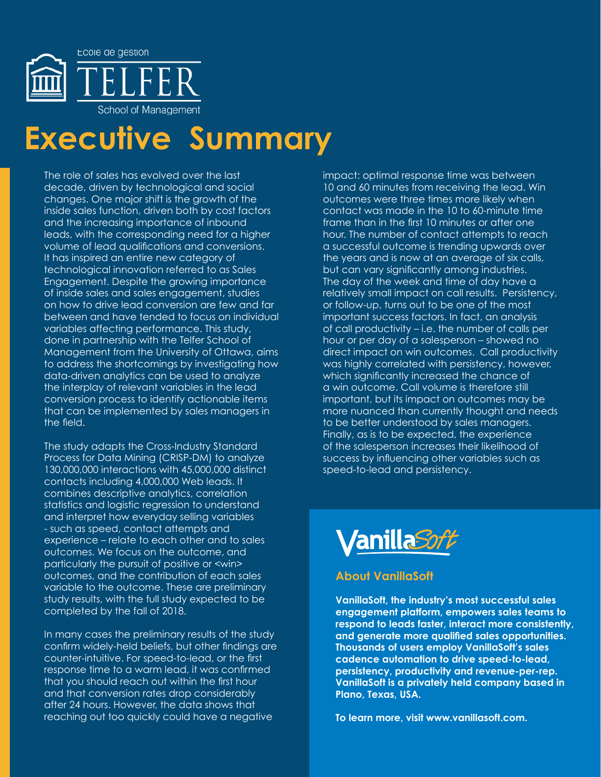

# **Executive Summary**

The role of sales has evolved over the last decade, driven by technological and social changes. One major shift is the growth of the inside sales function, driven both by cost factors and the increasing importance of inbound leads, with the corresponding need for a higher volume of lead qualifications and conversions. It has inspired an entire new category of technological innovation referred to as Sales Engagement. Despite the growing importance of inside sales and sales engagement, studies on how to drive lead conversion are few and far between and have tended to focus on individual variables affecting performance. This study, done in partnership with the Telfer School of Management from the University of Ottawa, aims to address the shortcomings by investigating how data-driven analytics can be used to analyze the interplay of relevant variables in the lead conversion process to identify actionable items that can be implemented by sales managers in the field.

The study adapts the Cross-Industry Standard Process for Data Mining (CRISP-DM) to analyze 130,000,000 interactions with 45,000,000 distinct contacts including 4,000,000 Web leads. It combines descriptive analytics, correlation statistics and logistic regression to understand and interpret how everyday selling variables - such as speed, contact attempts and experience – relate to each other and to sales outcomes. We focus on the outcome, and particularly the pursuit of positive or <win> outcomes, and the contribution of each sales variable to the outcome. These are preliminary study results, with the full study expected to be completed by the fall of 2018.

In many cases the preliminary results of the study confirm widely-held beliefs, but other findings are counter-intuitive. For speed-to-lead, or the first response time to a warm lead, it was confirmed that you should reach out within the first hour and that conversion rates drop considerably after 24 hours. However, the data shows that reaching out too quickly could have a negative

impact: optimal response time was between 10 and 60 minutes from receiving the lead. Win outcomes were three times more likely when contact was made in the 10 to 60-minute time frame than in the first 10 minutes or after one hour. The number of contact attempts to reach a successful outcome is trending upwards over the years and is now at an average of six calls, but can vary significantly among industries. The day of the week and time of day have a relatively small impact on call results. Persistency, or follow-up, turns out to be one of the most important success factors. In fact, an analysis of call productivity – i.e. the number of calls per hour or per day of a salesperson – showed no direct impact on win outcomes. Call productivity was highly correlated with persistency, however, which significantly increased the chance of a win outcome. Call volume is therefore still important, but its impact on outcomes may be more nuanced than currently thought and needs to be better understood by sales managers. Finally, as is to be expected, the experience of the salesperson increases their likelihood of success by influencing other variables such as speed-to-lead and persistency.



# **About VanillaSoft**

**VanillaSoft, the industry's most successful sales engagement platform, empowers sales teams to respond to leads faster, interact more consistently, and generate more qualified sales opportunities. Thousands of users employ VanillaSoft's sales cadence automation to drive speed-to-lead, persistency, productivity and revenue-per-rep. VanillaSoft is a privately held company based in Plano, Texas, USA.** 

**To learn more, visit www.vanillasoft.com.**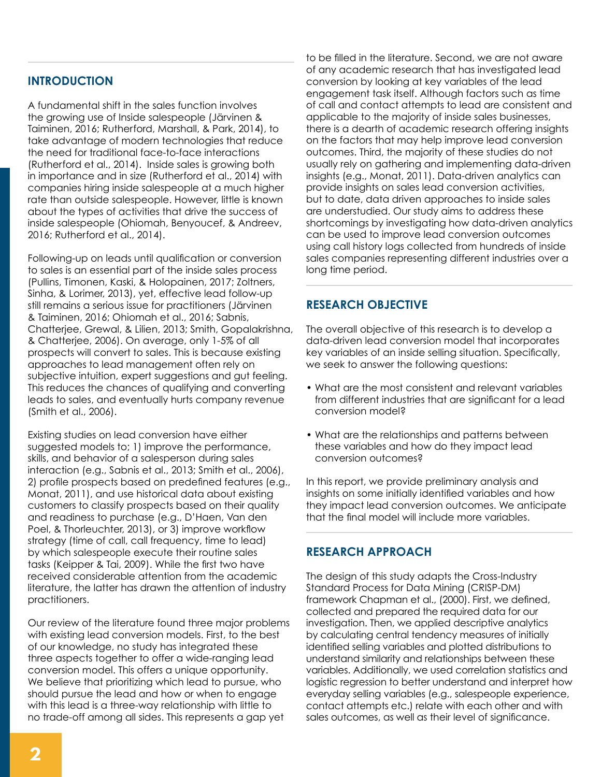# **INTRODUCTION**

A fundamental shift in the sales function involves the growing use of Inside salespeople (Järvinen & Taiminen, 2016; Rutherford, Marshall, & Park, 2014), to take advantage of modern technologies that reduce the need for traditional face-to-face interactions (Rutherford et al., 2014). Inside sales is growing both in importance and in size (Rutherford et al., 2014) with companies hiring inside salespeople at a much higher rate than outside salespeople. However, little is known about the types of activities that drive the success of inside salespeople (Ohiomah, Benyoucef, & Andreev, 2016; Rutherford et al., 2014).

Following-up on leads until qualification or conversion to sales is an essential part of the inside sales process (Pullins, Timonen, Kaski, & Holopainen, 2017; Zoltners, Sinha, & Lorimer, 2013), yet, effective lead follow-up still remains a serious issue for practitioners (Järvinen & Taiminen, 2016; Ohiomah et al., 2016; Sabnis, Chatterjee, Grewal, & Lilien, 2013; Smith, Gopalakrishna, & Chatterjee, 2006). On average, only 1-5% of all prospects will convert to sales. This is because existing approaches to lead management often rely on subjective intuition, expert suggestions and gut feeling. This reduces the chances of qualifying and converting leads to sales, and eventually hurts company revenue (Smith et al., 2006).

Existing studies on lead conversion have either suggested models to; 1) improve the performance, skills, and behavior of a salesperson during sales interaction (e.g., Sabnis et al., 2013; Smith et al., 2006), 2) profile prospects based on predefined features (e.g., Monat, 2011), and use historical data about existing customers to classify prospects based on their quality and readiness to purchase (e.g., D'Haen, Van den Poel, & Thorleuchter, 2013), or 3) improve workflow strategy (time of call, call frequency, time to lead) by which salespeople execute their routine sales tasks (Keipper & Tai, 2009). While the first two have received considerable attention from the academic literature, the latter has drawn the attention of industry practitioners.

Our review of the literature found three major problems with existing lead conversion models. First, to the best of our knowledge, no study has integrated these three aspects together to offer a wide-ranging lead conversion model. This offers a unique opportunity. We believe that prioritizing which lead to pursue, who should pursue the lead and how or when to engage with this lead is a three-way relationship with little to no trade-off among all sides. This represents a gap yet

to be filled in the literature. Second, we are not aware of any academic research that has investigated lead conversion by looking at key variables of the lead engagement task itself. Although factors such as time of call and contact attempts to lead are consistent and applicable to the majority of inside sales businesses, there is a dearth of academic research offering insights on the factors that may help improve lead conversion outcomes. Third, the majority of these studies do not usually rely on gathering and implementing data-driven insights (e.g., Monat, 2011). Data-driven analytics can provide insights on sales lead conversion activities, but to date, data driven approaches to inside sales are understudied. Our study aims to address these shortcomings by investigating how data-driven analytics can be used to improve lead conversion outcomes using call history logs collected from hundreds of inside sales companies representing different industries over a long time period.

### **RESEARCH OBJECTIVE**

The overall objective of this research is to develop a data-driven lead conversion model that incorporates key variables of an inside selling situation. Specifically, we seek to answer the following questions:

- What are the most consistent and relevant variables from different industries that are significant for a lead conversion model?
- What are the relationships and patterns between these variables and how do they impact lead conversion outcomes?

In this report, we provide preliminary analysis and insights on some initially identified variables and how they impact lead conversion outcomes. We anticipate that the final model will include more variables.

## **RESEARCH APPROACH**

The design of this study adapts the Cross-Industry Standard Process for Data Mining (CRISP-DM) framework Chapman et al., (2000). First, we defined, collected and prepared the required data for our investigation. Then, we applied descriptive analytics by calculating central tendency measures of initially identified selling variables and plotted distributions to understand similarity and relationships between these variables. Additionally, we used correlation statistics and logistic regression to better understand and interpret how everyday selling variables (e.g., salespeople experience, contact attempts etc.) relate with each other and with sales outcomes, as well as their level of significance.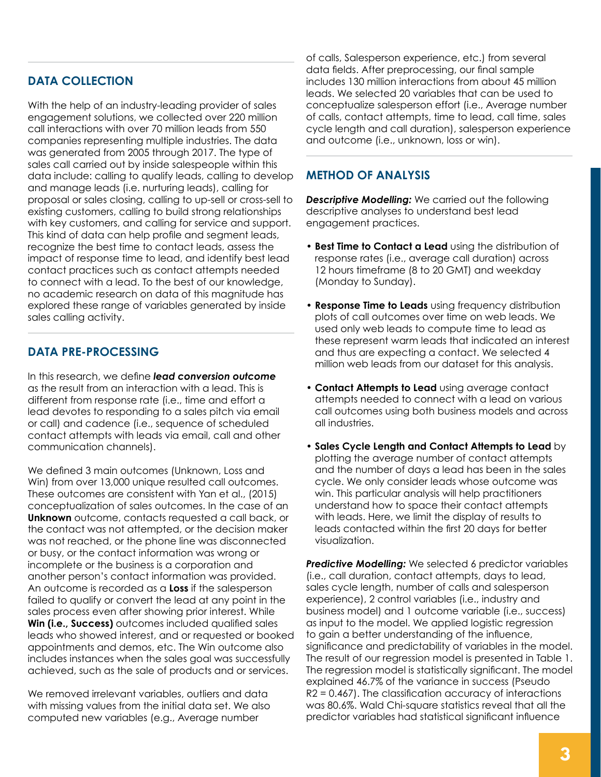# **Data Collection**

With the help of an industry-leading provider of sales engagement solutions, we collected over 220 million call interactions with over 70 million leads from 550 companies representing multiple industries. The data was generated from 2005 through 2017. The type of sales call carried out by inside salespeople within this data include: calling to qualify leads, calling to develop and manage leads (i.e. nurturing leads), calling for proposal or sales closing, calling to up-sell or cross-sell to existing customers, calling to build strong relationships with key customers, and calling for service and support. This kind of data can help profile and segment leads, recognize the best time to contact leads, assess the impact of response time to lead, and identify best lead contact practices such as contact attempts needed to connect with a lead. To the best of our knowledge, no academic research on data of this magnitude has explored these range of variables generated by inside sales calling activity.

# **Data Pre-Processing**

In this research, we define *lead conversion outcome* as the result from an interaction with a lead. This is different from response rate (i.e., time and effort a lead devotes to responding to a sales pitch via email or call) and cadence (i.e., sequence of scheduled contact attempts with leads via email, call and other communication channels).

We defined 3 main outcomes (Unknown, Loss and Win) from over 13,000 unique resulted call outcomes. These outcomes are consistent with Yan et al., (2015) conceptualization of sales outcomes. In the case of an **Unknown** outcome, contacts requested a call back, or the contact was not attempted, or the decision maker was not reached, or the phone line was disconnected or busy, or the contact information was wrong or incomplete or the business is a corporation and another person's contact information was provided. An outcome is recorded as a **Loss** if the salesperson failed to qualify or convert the lead at any point in the sales process even after showing prior interest. While **Win (i.e., Success)** outcomes included qualified sales leads who showed interest, and or requested or booked appointments and demos, etc. The Win outcome also includes instances when the sales goal was successfully achieved, such as the sale of products and or services.

We removed irrelevant variables, outliers and data with missing values from the initial data set. We also computed new variables (e.g., Average number

of calls, Salesperson experience, etc.) from several data fields. After preprocessing, our final sample includes 130 million interactions from about 45 million leads. We selected 20 variables that can be used to conceptualize salesperson effort (i.e., Average number of calls, contact attempts, time to lead, call time, sales cycle length and call duration), salesperson experience and outcome (i.e., unknown, loss or win).

### **Method of Analysis**

*Descriptive Modelling:* We carried out the following descriptive analyses to understand best lead engagement practices.

- **Best Time to Contact a Lead** using the distribution of response rates (i.e., average call duration) across 12 hours timeframe (8 to 20 GMT) and weekday (Monday to Sunday).
- **Response Time to Leads** using frequency distribution plots of call outcomes over time on web leads. We used only web leads to compute time to lead as these represent warm leads that indicated an interest and thus are expecting a contact. We selected 4 million web leads from our dataset for this analysis.
- **Contact Attempts to Lead** using average contact attempts needed to connect with a lead on various call outcomes using both business models and across all industries.
- **Sales Cycle Length and Contact Attempts to Lead** by plotting the average number of contact attempts and the number of days a lead has been in the sales cycle. We only consider leads whose outcome was win. This particular analysis will help practitioners understand how to space their contact attempts with leads. Here, we limit the display of results to leads contacted within the first 20 days for better visualization.

**Predictive Modelling:** We selected 6 predictor variables (i.e., call duration, contact attempts, days to lead, sales cycle length, number of calls and salesperson experience), 2 control variables (i.e., industry and business model) and 1 outcome variable (i.e., success) as input to the model. We applied logistic regression to gain a better understanding of the influence, significance and predictability of variables in the model. The result of our regression model is presented in Table 1. The regression model is statistically significant. The model explained 46.7% of the variance in success (Pseudo R2 = 0.467). The classification accuracy of interactions was 80.6%. Wald Chi-square statistics reveal that all the predictor variables had statistical significant influence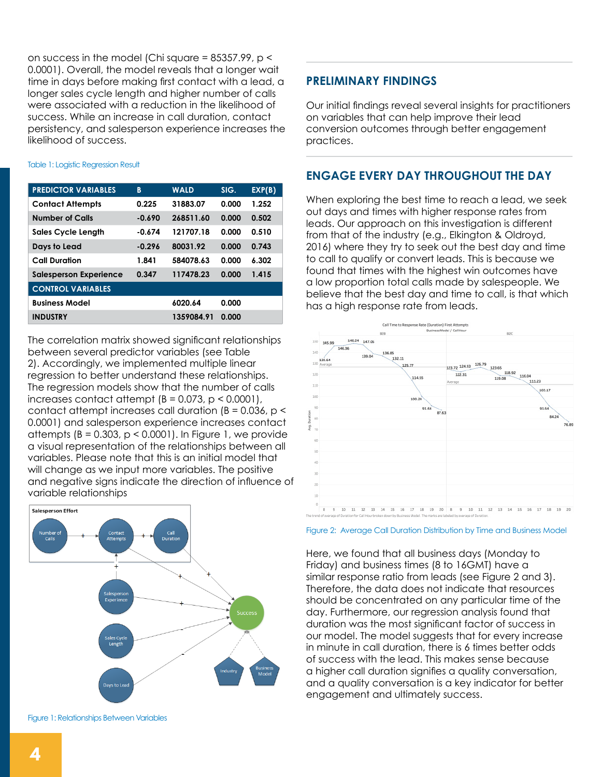on success in the model (Chi square = 85357.99, p < 0.0001). Overall, the model reveals that a longer wait time in days before making first contact with a lead, a longer sales cycle length and higher number of calls were associated with a reduction in the likelihood of success. While an increase in call duration, contact persistency, and salesperson experience increases the likelihood of success.

### Table 1: Logistic Regression Result

| <b>PREDICTOR VARIABLES</b>    | B        | <b>WALD</b> | SIG.  | EXP(B) |
|-------------------------------|----------|-------------|-------|--------|
| <b>Contact Attempts</b>       | 0.225    | 31883.07    | 0.000 | 1.252  |
| <b>Number of Calls</b>        | $-0.690$ | 268511.60   | 0.000 | 0.502  |
| <b>Sales Cycle Length</b>     | $-0.674$ | 121707.18   | 0.000 | 0.510  |
| Days to Lead                  | $-0.296$ | 80031.92    | 0.000 | 0.743  |
| <b>Call Duration</b>          | 1.841    | 584078.63   | 0.000 | 6.302  |
| <b>Salesperson Experience</b> | 0.347    | 117478.23   | 0.000 | 1.415  |
| <b>CONTROL VARIABLES</b>      |          |             |       |        |
| <b>Business Model</b>         |          | 6020.64     | 0.000 |        |
| <b>INDUSTRY</b>               |          | 1359084.91  | 0.000 |        |

The correlation matrix showed significant relationships between several predictor variables (see Table 2). Accordingly, we implemented multiple linear regression to better understand these relationships. The regression models show that the number of calls increases contact attempt  $(B = 0.073, p < 0.0001)$ , contact attempt increases call duration ( $B = 0.036$ ,  $p <$ 0.0001) and salesperson experience increases contact attempts ( $B = 0.303$ ,  $p < 0.0001$ ). In Figure 1, we provide a visual representation of the relationships between all variables. Please note that this is an initial model that will change as we input more variables. The positive and negative signs indicate the direction of influence of variable relationships



Figure 1: Relationships Between Variables

### **PRELIMINARY FINDINGS**

Our initial findings reveal several insights for practitioners on variables that can help improve their lead conversion outcomes through better engagement practices.

### **Engage Every Day Throughout the Day**

When exploring the best time to reach a lead, we seek out days and times with higher response rates from leads. Our approach on this investigation is different from that of the industry (e.g., Elkington & Oldroyd, 2016) where they try to seek out the best day and time to call to qualify or convert leads. This is because we found that times with the highest win outcomes have a low proportion total calls made by salespeople. We believe that the best day and time to call, is that which has a high response rate from leads.



### Figure 2: Average Call Duration Distribution by Time and Business Model

Here, we found that all business days (Monday to Friday) and business times (8 to 16GMT) have a similar response ratio from leads (see Figure 2 and 3). Therefore, the data does not indicate that resources should be concentrated on any particular time of the day. Furthermore, our regression analysis found that duration was the most significant factor of success in our model. The model suggests that for every increase in minute in call duration, there is 6 times better odds of success with the lead. This makes sense because a higher call duration signifies a quality conversation, and a quality conversation is a key indicator for better engagement and ultimately success.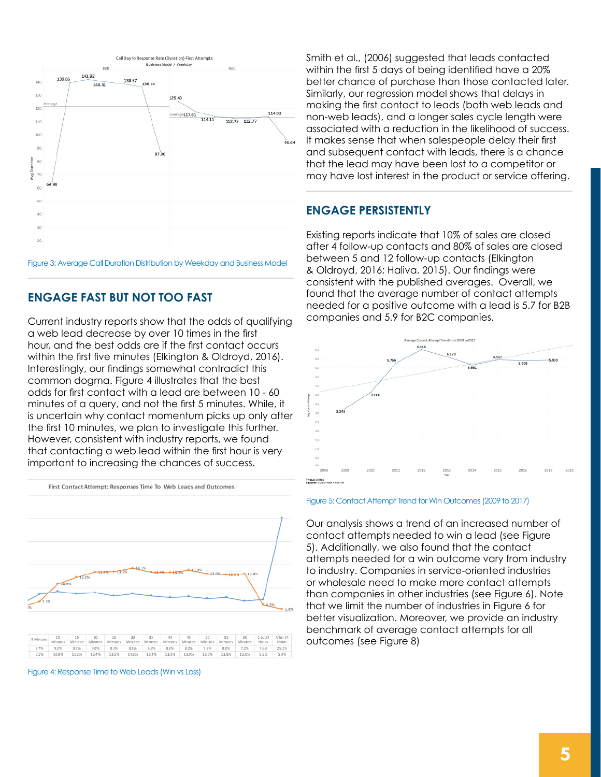

# **Engage Fast but Not Too Fast**

Current industry reports show that the odds of qualifying a web lead decrease by over 10 times in the first hour, and the best odds are if the first contact occurs within the first five minutes (Elkington & Oldroyd, 2016). Interestingly, our findings somewhat contradict this common dogma. Figure 4 illustrates that the best odds for first contact with a lead are between 10 - 60 minutes of a query, and not the first 5 minutes. While, it is uncertain why contact momentum picks up only after the first 10 minutes, we plan to investigate this further. However, consistent with industry reports, we found that contacting a web lead within the first hour is very important to increasing the chances of success.



Figure 4: Response Time to Web Leads (Win vs Loss)

Smith et al., (2006) suggested that leads contacted within the first 5 days of being identified have a 20% better chance of purchase than those contacted later. Similarly, our regression model shows that delays in making the first contact to leads (both web leads and non-web leads), and a longer sales cycle length were associated with a reduction in the likelihood of success. It makes sense that when salespeople delay their first and subsequent contact with leads, there is a chance that the lead may have been lost to a competitor or may have lost interest in the product or service offering.

### **Engage Persistently**

Existing reports indicate that 10% of sales are closed after 4 follow-up contacts and 80% of sales are closed between 5 and 12 follow-up contacts (Elkington & Oldroyd, 2016; Haliva, 2015). Our findings were consistent with the published averages. Overall, we found that the average number of contact attempts needed for a positive outcome with a lead is 5.7 for B2B companies and 5.9 for B2C companies.



### Figure 5: Contact Attempt Trend for Win Outcomes (2009 to 2017)

Our analysis shows a trend of an increased number of contact attempts needed to win a lead (see Figure 5). Additionally, we also found that the contact attempts needed for a win outcome vary from industry to industry. Companies in service-oriented industries or wholesale need to make more contact attempts than companies in other industries (see Figure 6). Note that we limit the number of industries in Figure 6 for better visualization. Moreover, we provide an industry benchmark of average contact attempts for all outcomes (see Figure 8)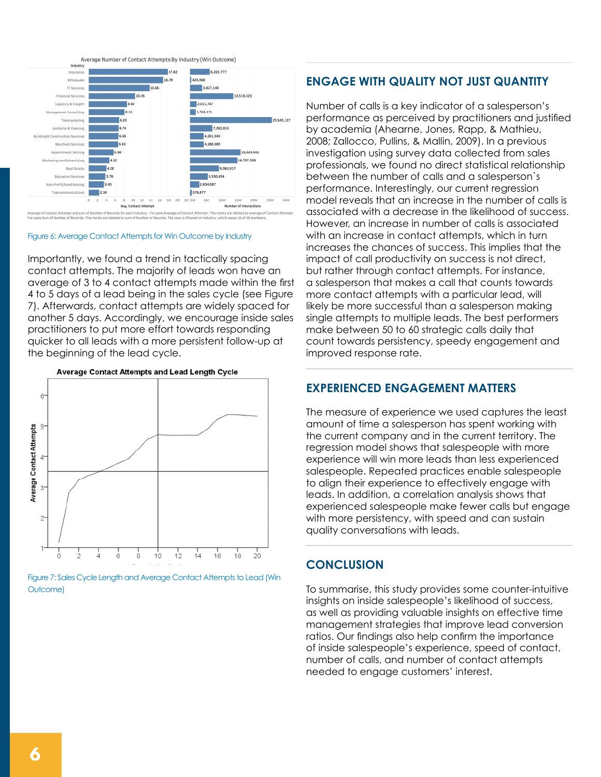

### Figure 6: Average Contact Attempts for Win Outcome by Industry

Importantly, we found a trend in tactically spacing contact attempts. The majority of leads won have an average of 3 to 4 contact attempts made within the first 4 to 5 days of a lead being in the sales cycle (see Figure 7). Afterwards, contact attempts are widely spaced for another 5 days. Accordingly, we encourage inside sales practitioners to put more effort towards responding quicker to all leads with a more persistent follow-up at the beginning of the lead cycle.



Figure 7: Sales Cycle Length and Average Contact Attempts to Lead (Win Outcome)

### **Engage with Quality Not Just Quantity**

Number of calls is a key indicator of a salesperson's performance as perceived by practitioners and justified by academia (Ahearne, Jones, Rapp, & Mathieu, 2008; Zallocco, Pullins, & Mallin, 2009). In a previous investigation using survey data collected from sales professionals, we found no direct statistical relationship between the number of calls and a salesperson`s performance. Interestingly, our current regression model reveals that an increase in the number of calls is associated with a decrease in the likelihood of success. However, an increase in number of calls is associated with an increase in contact attempts, which in turn increases the chances of success. This implies that the impact of call productivity on success is not direct, but rather through contact attempts. For instance, a salesperson that makes a call that counts towards more contact attempts with a particular lead, will likely be more successful than a salesperson making single attempts to multiple leads. The best performers make between 50 to 60 strategic calls daily that count towards persistency, speedy engagement and improved response rate.

# **Experienced Engagement Matters**

The measure of experience we used captures the least amount of time a salesperson has spent working with the current company and in the current territory. The regression model shows that salespeople with more experience will win more leads than less experienced salespeople. Repeated practices enable salespeople to align their experience to effectively engage with leads. In addition, a correlation analysis shows that experienced salespeople make fewer calls but engage with more persistency, with speed and can sustain quality conversations with leads.

## **CONCLUSION**

To summarise, this study provides some counter-intuitive insights on inside salespeople's likelihood of success, as well as providing valuable insights on effective time management strategies that improve lead conversion ratios. Our findings also help confirm the importance of inside salespeople's experience, speed of contact, number of calls, and number of contact attempts needed to engage customers' interest.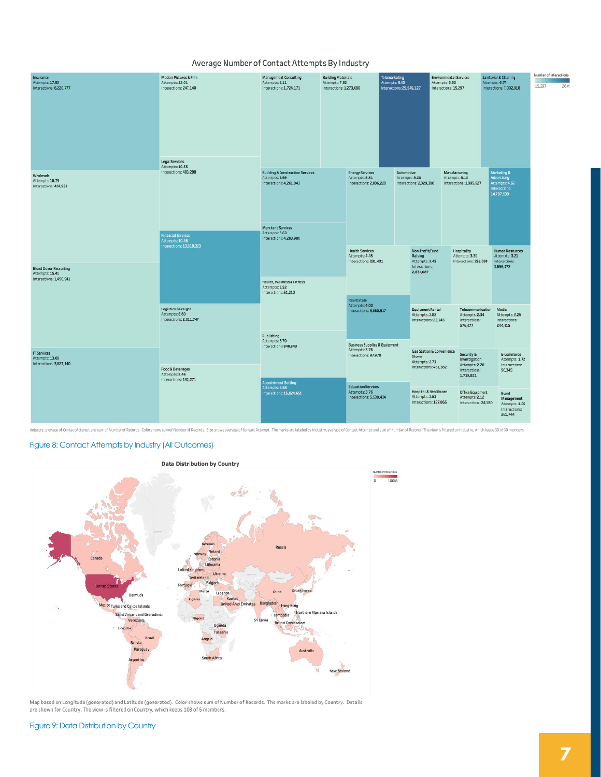### Average Number of Contact Attempts By Industry

| Insurance<br>Attempts: 17.82<br>Interactions: 6,220,777                     | Motion Pictures & Film<br>Attempts: 12.01<br>Interactions: 247,140<br>Legal Services     | Management Consulting<br>Attempts: 8.11<br>Interactions: 1,724,171                                                                                         | <b>Building Materials</b><br>Attempts: 7.82<br>Interactions: 1.273,680 |                                                                                                                                                                                  | Telemarketing<br>Attempts: 6.83<br>Interactions: 25,545,127 |                                                                                                                                                                                             | <b>Environmental Services</b><br>Attempts: 6.82<br>Interactions: 15,297 |                                                                             | Janitorial & Cleaning<br>Attempts: 6.74<br>Interactions: 7,002,818          | Number of Interactions<br>15,297 | 26M |
|-----------------------------------------------------------------------------|------------------------------------------------------------------------------------------|------------------------------------------------------------------------------------------------------------------------------------------------------------|------------------------------------------------------------------------|----------------------------------------------------------------------------------------------------------------------------------------------------------------------------------|-------------------------------------------------------------|---------------------------------------------------------------------------------------------------------------------------------------------------------------------------------------------|-------------------------------------------------------------------------|-----------------------------------------------------------------------------|-----------------------------------------------------------------------------|----------------------------------|-----|
| Wholesale<br>Attempts: 16.79<br>Interactions: 424,968                       | Attempts: 10.55<br>Interactions: 483.288<br><b>Financial Services</b><br>Attempts: 10.46 | <b>Building &amp; Construction Services</b><br>Attempts: 6.69<br>Interactions: 4,261,043<br>Merchant Services<br>Attempts: 6.63<br>Interactions: 4,288,980 |                                                                        | <b>Energy Services</b><br>Attempts: 5.31<br>Interactions: 2,806,220                                                                                                              |                                                             | Automotive<br>Attempts: 5.20<br>Interactions: 2,029,380                                                                                                                                     |                                                                         | Manufacturing<br>Attempts: 5.13<br>Interactions: 1,095,927                  | Marketing &<br>Advertising<br>Attempts: 4.62<br>Interactions:<br>14,707,599 |                                  |     |
| <b>Blood Donor Recruiting</b><br>Attempts: 15.41<br>Interactions: 1,450,941 | Interactions: 13,518,323                                                                 | <b>Health, Wellness &amp; Fitness</b><br>Attempts: 6.52<br>Interactions: 51,210<br>Publishing<br>Attempts: 5.70<br>Interactions: 848,543                   |                                                                        | <b>Health Services</b><br>Attempts: 4,45<br>Interactions: 231.431<br><b>Real Estate</b><br>Attempts: 4.00<br>Interactions: 9,060,917<br><b>Business Supplies &amp; Equipment</b> |                                                             | Non-Profit/Fund<br>Hospitality<br>Raising<br>Attempts: 3.39<br>Attempts: 3.43<br>Interactions:<br>2,834,087<br><b>Equipment Rental</b><br>Attempts: 2.83<br>Interactions: 22,045<br>576,477 |                                                                         | Interactions: 235,099<br>Interactions:<br>3,656,072                         | <b>Human Resources</b><br>Attempts: 3.21                                    |                                  |     |
|                                                                             | Logistics & Freight<br>Attempts: 8.60<br>Interactions: 2,011,747                         |                                                                                                                                                            |                                                                        |                                                                                                                                                                                  |                                                             |                                                                                                                                                                                             |                                                                         | Telecommunication<br>Attempts: 2.34<br>Interactions:                        | Media<br>Attempts: 2.25<br>Interactions:<br>244,415                         |                                  |     |
| IT Services<br>Attempts: 13.66<br>Interactions: 3.827.140                   | Food & Beverages<br>Attempts: 8.46<br>Interactions: 132,271                              | <b>Appointment Setting</b>                                                                                                                                 |                                                                        | Attempts: 3.76<br>Interactions: 97,970<br><b>Education Services</b>                                                                                                              |                                                             | Gas Station & Convenience<br><b>Stores</b><br>Attempts: 2.71<br>Interactions: 451,382                                                                                                       |                                                                         | Security &<br>Investigation<br>Attempts: 2.20<br>Interactions:<br>1,719,821 | E-Commerce<br>Attempts: 1.72<br>Interactions:<br>90,345                     |                                  |     |
|                                                                             |                                                                                          | Attempts: 5.58<br>Interactions: 15,824,651                                                                                                                 |                                                                        | Attempts: 3.76<br>Interactions: 5,530,434                                                                                                                                        |                                                             | Hospital & Healthcare<br>Attempts: 2.51<br>Interactions: 127,865                                                                                                                            |                                                                         | Office Equipment<br>Attempts: 2.12<br>Interactions: 24,180                  | Event<br>Management<br>Attempts: 1.56<br>Interactions:<br>281,744           |                                  |     |

Industry, average of Contact Attempt and sum of Number of Records. Color shows sum of Number of Records. Size shows average of Contact Attempt. The marks are labeled by Industry, average of Contact Attempt and sum of Numbe

### Figure 8: Contact Attempts by Industry (All Outcomes)



Map based on Longitude (generated) and Latitude (generated). Color shows sum of Number of Records. The marks are labeled by Country. Details<br>are shown for Country. The view is filtered on Country, which keeps 108 of 6 memb